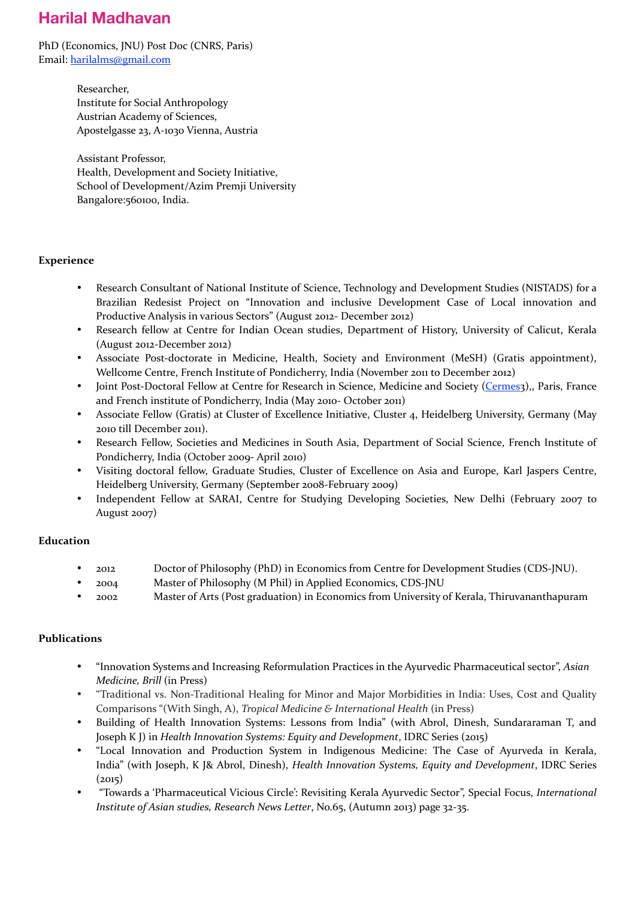# **Harilal Madhavan**

PhD (Economics, JNU) Post Doc (CNRS, Paris) Email: [harilalms@gmail.com](mailto:harilalms@gmail.com)

> Researcher, Institute for Social Anthropology Austrian Academy of Sciences, Apostelgasse 23, A-1030 Vienna, Austria

Assistant Professor, Health, Development and Society Initiative, School of Development/Azim Premji University Bangalore:560100, India.

## **Experience**

- Research Consultant of National Institute of Science, Technology and Development Studies (NISTADS) for a Brazilian Redesist Project on "Innovation and inclusive Development Case of Local innovation and Productive Analysis in various Sectors" (August 2012- December 2012)
- Research fellow at Centre for Indian Ocean studies, Department of History, University of Calicut, Kerala (August 2012-December 2012)
- Associate Post-doctorate in Medicine, Health, Society and Environment (MeSH) (Gratis appointment), Wellcome Centre, French Institute of Pondicherry, India (November 2011 to December 2012)
- Joint Post-Doctoral Fellow at Centre for Research in Science, Medicine and Society ([Cermes](http://www.vjf.cnrs.fr/cermes3)3),, Paris, France and French institute of Pondicherry, India (May 2010- October 2011)
- Associate Fellow (Gratis) at Cluster of Excellence Initiative, Cluster 4, Heidelberg University, Germany (May 2010 till December 2011).
- Research Fellow, Societies and Medicines in South Asia, Department of Social Science, French Institute of Pondicherry, India (October 2009- April 2010)
- Visiting doctoral fellow, Graduate Studies, Cluster of Excellence on Asia and Europe, Karl Jaspers Centre, Heidelberg University, Germany (September 2008-February 2009)
- Independent Fellow at SARAI, Centre for Studying Developing Societies, New Delhi (February 2007 to August 2007)

## **Education**

- zon<sub>2</sub> Doctor of Philosophy (PhD) in Economics from Centre for Development Studies (CDS-JNU).
- 2004 Master of Philosophy (M Phil) in Applied Economics, CDS-JNU
- 2002 Master of Arts (Post graduation) in Economics from University of Kerala, Thiruvananthapuram

## **Publications**

- "Innovation Systems and Increasing Reformulation Practices in the Ayurvedic Pharmaceutical sector", *Asian Medicine, Brill* (in Press)
- "Traditional vs. Non-Traditional Healing for Minor and Major Morbidities in India: Uses, Cost and Quality Comparisons "(With Singh, A), *Tropical Medicine & International Health* (in Press)
- Building of Health Innovation Systems: Lessons from India" (with Abrol, Dinesh, Sundararaman T, and Joseph K J) in *Health Innovation Systems: Equity and Development*, IDRC Series (2015)
- "Local Innovation and Production System in Indigenous Medicine: The Case of Ayurveda in Kerala, India" (with Joseph, K J& Abrol, Dinesh), *Health Innovation Systems, Equity and Development*, IDRC Series  $(2015)$
- "Towards a 'Pharmaceutical Vicious Circle': Revisiting Kerala Ayurvedic Sector", Special Focus, *International Institute of Asian studies, Research News Letter, No.65, (Autumn 2013)* page 32-35.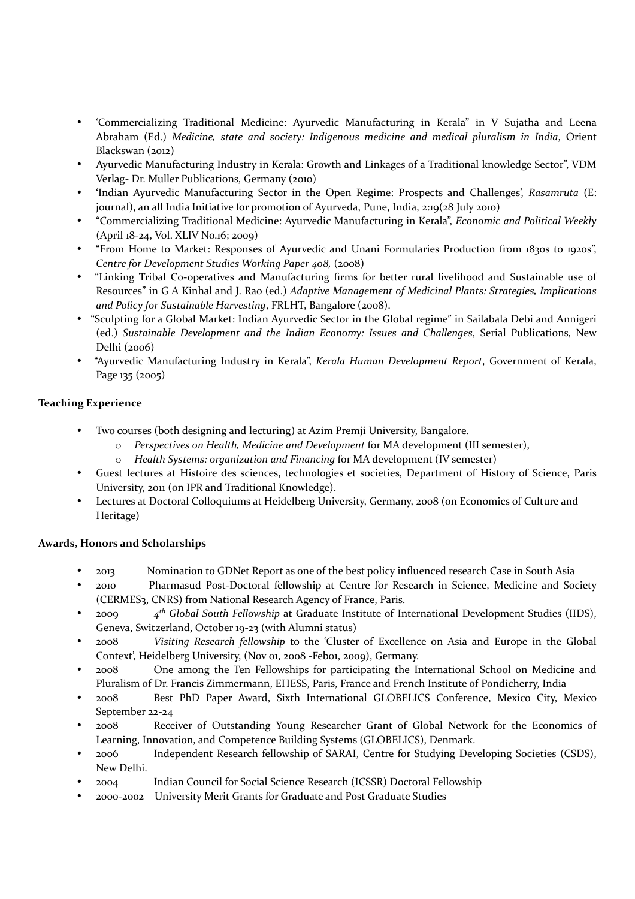- 'Commercializing Traditional Medicine: Ayurvedic Manufacturing in Kerala" in V Sujatha and Leena Abraham (Ed.) *Medicine, state and society: Indigenous medicine and medical pluralism in India*, Orient Blackswan (2012)
- Ayurvedic Manufacturing Industry in Kerala: Growth and Linkages of a Traditional knowledge Sector", VDM Verlag- Dr. Muller Publications, Germany (2010)
- 'Indian Ayurvedic Manufacturing Sector in the Open Regime: Prospects and Challenges', Rasamruta (E: journal), an all India Initiative for promotion of Ayurveda, Pune, India,  $2:19(28)$  July  $2010$ )
- "Commercializing Traditional Medicine: Ayurvedic Manufacturing in Kerala", *Economic and Political Weekly* (April 18-24, Vol. XLIV No.16; 2009)
- "From Home to Market: Responses of Ayurvedic and Unani Formularies Production from 1830s to 1920s", Centre for Development Studies Working Paper 408, (2008)
- "Linking Tribal Co-operatives and Manufacturing firms for better rural livelihood and Sustainable use of Resources" in G A Kinhal and J. Rao (ed.) *Adaptive Management of Medicinal Plants: Strategies, Implications* and Policy for Sustainable Harvesting, FRLHT, Bangalore (2008).
- "Sculpting for a Global Market: Indian Ayurvedic Sector in the Global regime" in Sailabala Debi and Annigeri (ed.) Sustainable Development and the Indian Economy: Issues and Challenges, Serial Publications, New Delhi (2006)
- "Ayurvedic Manufacturing Industry in Kerala", *Kerala Human Development Report*, Government of Kerala, Page 135 (2005)

## **Teaching Experience**

- Two courses (both designing and lecturing) at Azim Premji University, Bangalore.
	- $\circ$  *Perspectives* on *Health, Medicine and Development* for MA development (III semester),
	- o *Health Systems: organization and Financing* for MA development (IV semester)
- Guest lectures at Histoire des sciences, technologies et societies, Department of History of Science, Paris University, 2011 (on IPR and Traditional Knowledge).
- Lectures at Doctoral Colloquiums at Heidelberg University, Germany, 2008 (on Economics of Culture and Heritage)

## **Awards, Honors and Scholarships**

- 2013 Nomination to GDNet Report as one of the best policy influenced research Case in South Asia
- 2010 Pharmasud Post-Doctoral fellowship at Centre for Research in Science, Medicine and Society (CERMES<sub>3</sub>, CNRS) from National Research Agency of France, Paris.
- <sup>200</sup> <sup>4th</sup> Global South Fellowship at Graduate Institute of International Development Studies (IIDS), Geneva, Switzerland, October 19-23 (with Alumni status)
- 2008 *Visiting Research fellowship* to the 'Cluster of Excellence on Asia and Europe in the Global Context', Heidelberg University, (Nov 01, 2008 -Feb01, 2009), Germany.
- 2008 One among the Ten Fellowships for participating the International School on Medicine and Pluralism of Dr. Francis Zimmermann, EHESS, Paris, France and French Institute of Pondicherry, India
- 2008 Best PhD Paper Award, Sixth International GLOBELICS Conference, Mexico City, Mexico September 22-24
- 2008 Receiver of Outstanding Young Researcher Grant of Global Network for the Economics of Learning, Innovation, and Competence Building Systems (GLOBELICS), Denmark.
- 2006 Independent Research fellowship of SARAI, Centre for Studying Developing Societies (CSDS), New Delhi.
- 2004 Indian Council for Social Science Research (ICSSR) Doctoral Fellowship
- 2000-2002 University Merit Grants for Graduate and Post Graduate Studies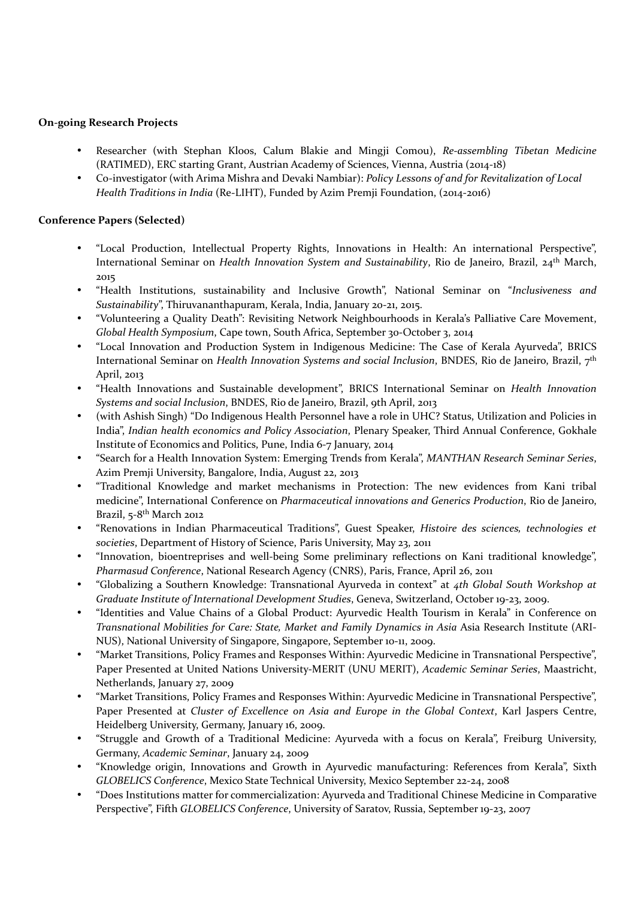#### **On-going Research Projects**

- Researcher (with Stephan Kloos, Calum Blakie and Mingji Comou), *Re-assembling Tibetan Medicine*  $(RATIMED)$ , ERC starting Grant, Austrian Academy of Sciences, Vienna, Austria  $(zo<sub>14-18</sub>)$
- Co-investigator (with Arima Mishra and Devaki Nambiar): *Policy Lessons of and for Revitalization of Local Health Traditions in India* (Re-LIHT), Funded by Azim Premji Foundation, (2014-2016)

#### **Conference Papers (Selected)**

- "Local Production, Intellectual Property Rights, Innovations in Health: An international Perspective", International Seminar on *Health Innovation System and Sustainability*, Rio de Janeiro, Brazil, 24<sup>th</sup> March, 2015
- "Health Institutions, sustainability and Inclusive Growth", National Seminar on "*Inclusiveness and* Sustainability", Thiruvananthapuram, Kerala, India, January 20-21, 2015.
- "Volunteering a Quality Death": Revisiting Network Neighbourhoods in Kerala's Palliative Care Movement, *Global Health Symposium, Cape town, South Africa, September 30-October 3, 2014*
- "Local Innovation and Production System in Indigenous Medicine: The Case of Kerala Ayurveda", BRICS International Seminar on *Health Innovation Systems and social Inclusion*, BNDES, Rio de Janeiro, Brazil, 7<sup>th</sup> April, 2013
- "Health Innovations and Sustainable development", BRICS International Seminar on *Health Innovation Systems and social Inclusion*, BNDES, Rio de Janeiro, Brazil, 9th April, 2013
- (with Ashish Singh) "Do Indigenous Health Personnel have a role in UHC? Status, Utilization and Policies in India", *Indian health economics and Policy Association*, Plenary Speaker, Third Annual Conference, Gokhale Institute of Economics and Politics, Pune, India 6-7 January, 2014
- "Search for a Health Innovation System: Emerging Trends from Kerala", *MANTHAN Research Seminar Series*, Azim Premji University, Bangalore, India, August 22, 2013
- "Traditional Knowledge and market mechanisms in Protection: The new evidences from Kani tribal medicine", International Conference on *Pharmaceutical innovations and Generics Production*, Rio de Janeiro, Brazil, 5-8<sup>th</sup> March 2012
- "Renovations in Indian Pharmaceutical Traditions", Guest Speaker, *Histoire des sciences, technologies et* societies, Department of History of Science, Paris University, May 23, 2011
- "Innovation, bioentreprises and well-being Some preliminary reflections on Kani traditional knowledge", *Pharmasud Conference*, National Research Agency (CNRS), Paris, France, April 26, 2011
- "Globalizing a Southern Knowledge: Transnational Ayurveda in context" at *4th Global South Workshop at*  Graduate Institute of International Development Studies, Geneva, Switzerland, October 19-23, 2009.
- "Identities and Value Chains of a Global Product: Ayurvedic Health Tourism in Kerala" in Conference on *Transnational Mobilities for Care: State, Market and Family Dynamics in Asia Asia Research Institute* (ARI-NUS), National University of Singapore, Singapore, September 10-11, 2009.
- "Market Transitions, Policy Frames and Responses Within: Ayurvedic Medicine in Transnational Perspective", Paper Presented at United Nations University-MERIT (UNU MERIT), *Academic Seminar Series*, Maastricht, Netherlands, January 27, 2009
- "Market Transitions, Policy Frames and Responses Within: Ayurvedic Medicine in Transnational Perspective", Paper Presented at *Cluster of Excellence on Asia and Europe in the Global Context*, Karl Jaspers Centre, Heidelberg University, Germany, January 16, 2009.
- "Struggle and Growth of a Traditional Medicine: Ayurveda with a focus on Kerala", Freiburg University, Germany, *Academic Seminar*, January 24, 2009
- "Knowledge origin, Innovations and Growth in Ayurvedic manufacturing: References from Kerala", Sixth *GLOBELICS Conference*, Mexico State Technical University, Mexico September 22-24, 2008
- "Does Institutions matter for commercialization: Ayurveda and Traditional Chinese Medicine in Comparative Perspective", Fifth *GLOBELICS Conference*, University of Saratov, Russia, September 19-23, 2007